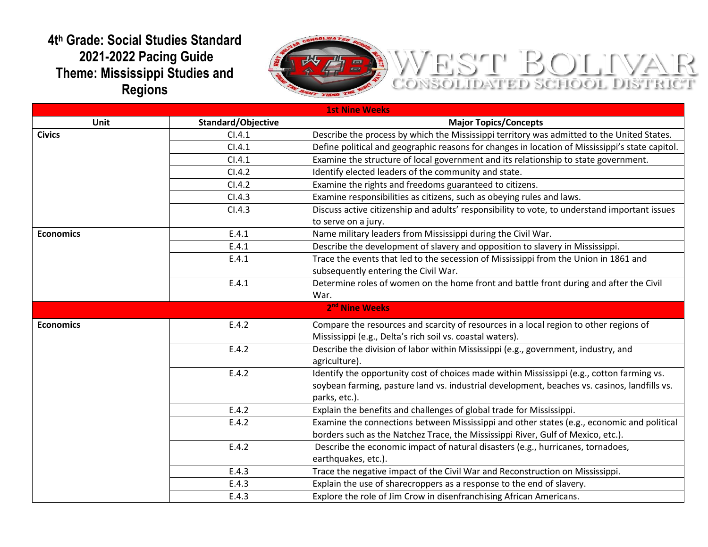## **4t<sup>h</sup> Grade: Social Studies Standard 2021-2022 Pacing Guide Theme: Mississippi Studies and Regions**



## WEST BOLTVAR

| <b>1st Nine Weeks</b>      |                           |                                                                                                 |  |  |
|----------------------------|---------------------------|-------------------------------------------------------------------------------------------------|--|--|
| Unit                       | <b>Standard/Objective</b> | <b>Major Topics/Concepts</b>                                                                    |  |  |
| <b>Civics</b>              | Cl.4.1                    | Describe the process by which the Mississippi territory was admitted to the United States.      |  |  |
|                            | Cl.4.1                    | Define political and geographic reasons for changes in location of Mississippi's state capitol. |  |  |
|                            | Cl.4.1                    | Examine the structure of local government and its relationship to state government.             |  |  |
|                            | CI.4.2                    | Identify elected leaders of the community and state.                                            |  |  |
|                            | CI.4.2                    | Examine the rights and freedoms guaranteed to citizens.                                         |  |  |
|                            | CI.4.3                    | Examine responsibilities as citizens, such as obeying rules and laws.                           |  |  |
|                            | CI.4.3                    | Discuss active citizenship and adults' responsibility to vote, to understand important issues   |  |  |
|                            |                           | to serve on a jury.                                                                             |  |  |
| <b>Economics</b>           | E.4.1                     | Name military leaders from Mississippi during the Civil War.                                    |  |  |
|                            | E.4.1                     | Describe the development of slavery and opposition to slavery in Mississippi.                   |  |  |
|                            | E.4.1                     | Trace the events that led to the secession of Mississippi from the Union in 1861 and            |  |  |
|                            |                           | subsequently entering the Civil War.                                                            |  |  |
|                            | E.4.1                     | Determine roles of women on the home front and battle front during and after the Civil          |  |  |
|                            |                           | War.                                                                                            |  |  |
| 2 <sup>nd</sup> Nine Weeks |                           |                                                                                                 |  |  |
| <b>Economics</b>           | E.4.2                     | Compare the resources and scarcity of resources in a local region to other regions of           |  |  |
|                            |                           | Mississippi (e.g., Delta's rich soil vs. coastal waters).                                       |  |  |
|                            | E.4.2                     | Describe the division of labor within Mississippi (e.g., government, industry, and              |  |  |
|                            |                           | agriculture).                                                                                   |  |  |
|                            | E.4.2                     | Identify the opportunity cost of choices made within Mississippi (e.g., cotton farming vs.      |  |  |
|                            |                           | soybean farming, pasture land vs. industrial development, beaches vs. casinos, landfills vs.    |  |  |
|                            |                           | parks, etc.).                                                                                   |  |  |
|                            | E.4.2                     | Explain the benefits and challenges of global trade for Mississippi.                            |  |  |
|                            | E.4.2                     | Examine the connections between Mississippi and other states (e.g., economic and political      |  |  |
|                            |                           | borders such as the Natchez Trace, the Mississippi River, Gulf of Mexico, etc.).                |  |  |
|                            | E.4.2                     | Describe the economic impact of natural disasters (e.g., hurricanes, tornadoes,                 |  |  |
|                            |                           | earthquakes, etc.).                                                                             |  |  |
|                            | E.4.3                     | Trace the negative impact of the Civil War and Reconstruction on Mississippi.                   |  |  |
|                            | E.4.3                     | Explain the use of sharecroppers as a response to the end of slavery.                           |  |  |
|                            | E.4.3                     | Explore the role of Jim Crow in disenfranchising African Americans.                             |  |  |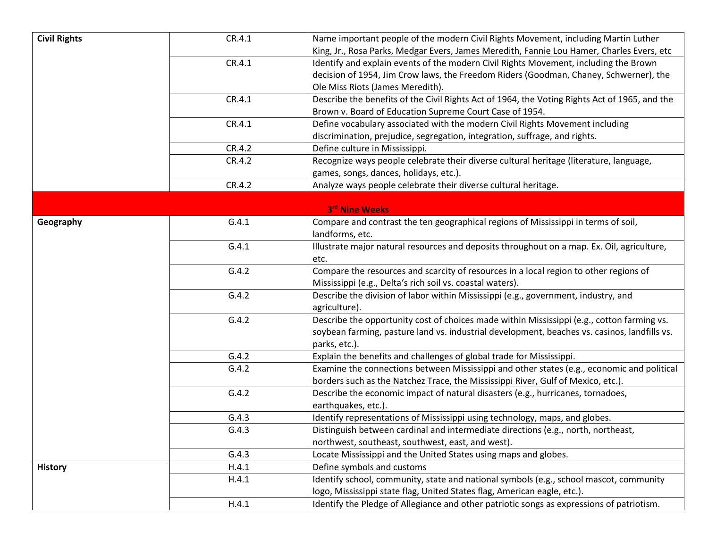| <b>Civil Rights</b> | CR.4.1 | Name important people of the modern Civil Rights Movement, including Martin Luther            |
|---------------------|--------|-----------------------------------------------------------------------------------------------|
|                     |        | King, Jr., Rosa Parks, Medgar Evers, James Meredith, Fannie Lou Hamer, Charles Evers, etc     |
|                     | CR.4.1 | Identify and explain events of the modern Civil Rights Movement, including the Brown          |
|                     |        | decision of 1954, Jim Crow laws, the Freedom Riders (Goodman, Chaney, Schwerner), the         |
|                     |        | Ole Miss Riots (James Meredith).                                                              |
|                     | CR.4.1 | Describe the benefits of the Civil Rights Act of 1964, the Voting Rights Act of 1965, and the |
|                     |        | Brown v. Board of Education Supreme Court Case of 1954.                                       |
|                     | CR.4.1 | Define vocabulary associated with the modern Civil Rights Movement including                  |
|                     |        | discrimination, prejudice, segregation, integration, suffrage, and rights.                    |
|                     | CR.4.2 | Define culture in Mississippi.                                                                |
|                     | CR.4.2 | Recognize ways people celebrate their diverse cultural heritage (literature, language,        |
|                     |        | games, songs, dances, holidays, etc.).                                                        |
|                     | CR.4.2 | Analyze ways people celebrate their diverse cultural heritage.                                |
|                     |        |                                                                                               |
|                     |        | 3rd Nine Weeks                                                                                |
| Geography           | G.4.1  | Compare and contrast the ten geographical regions of Mississippi in terms of soil,            |
|                     |        | landforms, etc.                                                                               |
|                     | G.4.1  | Illustrate major natural resources and deposits throughout on a map. Ex. Oil, agriculture,    |
|                     |        | etc.                                                                                          |
|                     | G.4.2  | Compare the resources and scarcity of resources in a local region to other regions of         |
|                     |        | Mississippi (e.g., Delta's rich soil vs. coastal waters).                                     |
|                     | G.4.2  | Describe the division of labor within Mississippi (e.g., government, industry, and            |
|                     |        | agriculture).                                                                                 |
|                     | G.4.2  | Describe the opportunity cost of choices made within Mississippi (e.g., cotton farming vs.    |
|                     |        | soybean farming, pasture land vs. industrial development, beaches vs. casinos, landfills vs.  |
|                     |        | parks, etc.).                                                                                 |
|                     | G.4.2  | Explain the benefits and challenges of global trade for Mississippi.                          |
|                     | G.4.2  | Examine the connections between Mississippi and other states (e.g., economic and political    |
|                     |        | borders such as the Natchez Trace, the Mississippi River, Gulf of Mexico, etc.).              |
|                     | G.4.2  | Describe the economic impact of natural disasters (e.g., hurricanes, tornadoes,               |
|                     |        | earthquakes, etc.).                                                                           |
|                     | G.4.3  | Identify representations of Mississippi using technology, maps, and globes.                   |
|                     | G.4.3  | Distinguish between cardinal and intermediate directions (e.g., north, northeast,             |
|                     |        | northwest, southeast, southwest, east, and west).                                             |
|                     | G.4.3  | Locate Mississippi and the United States using maps and globes.                               |
| <b>History</b>      | H.4.1  | Define symbols and customs                                                                    |
|                     | H.4.1  | Identify school, community, state and national symbols (e.g., school mascot, community        |
|                     |        | logo, Mississippi state flag, United States flag, American eagle, etc.).                      |
|                     | H.4.1  | Identify the Pledge of Allegiance and other patriotic songs as expressions of patriotism.     |